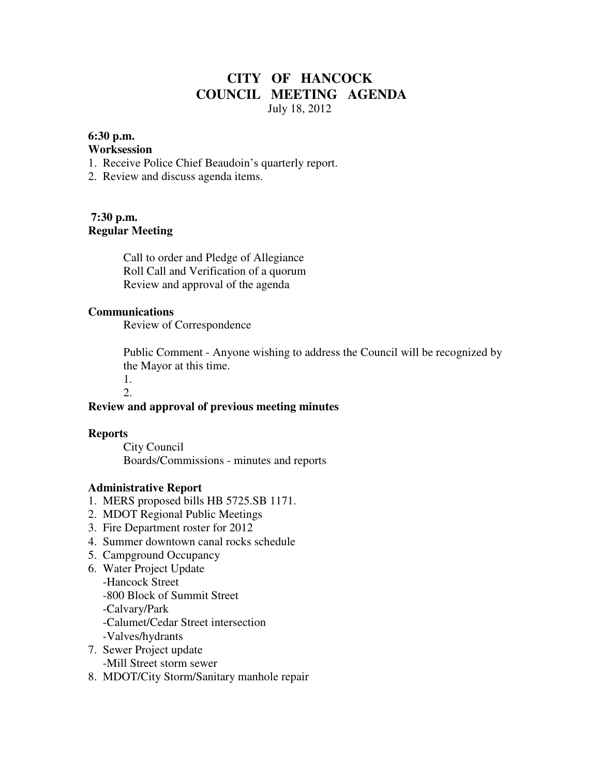# **CITY OF HANCOCK COUNCIL MEETING AGENDA**  July 18, 2012

### **6:30 p.m.**

#### **Worksession**

- 1. Receive Police Chief Beaudoin's quarterly report.
- 2. Review and discuss agenda items.

## **7:30 p.m. Regular Meeting**

 Call to order and Pledge of Allegiance Roll Call and Verification of a quorum Review and approval of the agenda

#### **Communications**

Review of Correspondence

 Public Comment - Anyone wishing to address the Council will be recognized by the Mayor at this time.

1.

## 2.

#### **Review and approval of previous meeting minutes**

#### **Reports**

City Council Boards/Commissions - minutes and reports

### **Administrative Report**

- 1. MERS proposed bills HB 5725.SB 1171.
- 2. MDOT Regional Public Meetings
- 3. Fire Department roster for 2012
- 4. Summer downtown canal rocks schedule
- 5. Campground Occupancy
- 6. Water Project Update
	- -Hancock Street
	- -800 Block of Summit Street
	- -Calvary/Park
	- -Calumet/Cedar Street intersection
	- -Valves/hydrants
- 7. Sewer Project update -Mill Street storm sewer
- 8. MDOT/City Storm/Sanitary manhole repair